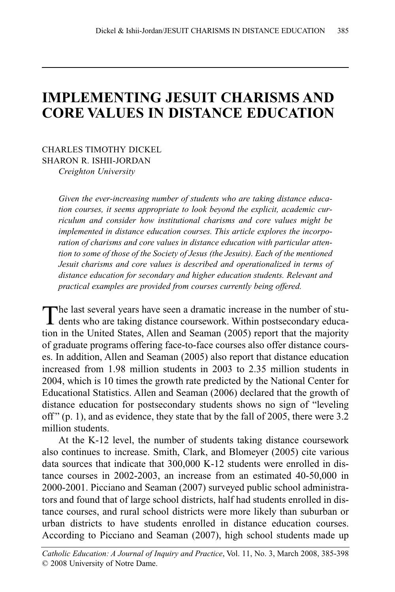# **IMPLEMENTING JESUIT CHARISMS AND CORE VALUES IN DISTANCE EDUCATION**

CHARLES TIMOTHY DICKEL SHARON R. ISHII-JORDAN *Creighton University*

> *Given the ever-increasing number of students who are taking distance education courses, it seems appropriate to look beyond the explicit, academic curriculum and consider how institutional charisms and core values might be implemented in distance education courses. This article explores the incorporation of charisms and core values in distance education with particular attention to some of those of the Society of Jesus (the Jesuits). Each of the mentioned Jesuit charisms and core values is described and operationalized in terms of distance education for secondary and higher education students. Relevant and practical examples are provided from courses currently being offered.*

The last several years have seen a dramatic increase in the number of students who are taking distance coursework. Within postsecondary education in the United States, Allen and Seaman (2005) report that the majority of graduate programs offering face-to-face courses also offer distance courses. In addition, Allen and Seaman (2005) also report that distance education increased from 1.98 million students in 2003 to 2.35 million students in 2004, which is 10 times the growth rate predicted by the National Center for Educational Statistics. Allen and Seaman (2006) declared that the growth of distance education for postsecondary students shows no sign of "leveling off" (p. 1), and as evidence, they state that by the fall of 2005, there were 3.2 million students.

At the K-12 level, the number of students taking distance coursework also continues to increase. Smith, Clark, and Blomeyer (2005) cite various data sources that indicate that 300,000 K-12 students were enrolled in distance courses in 2002-2003, an increase from an estimated 40-50,000 in 2000-2001. Picciano and Seaman (2007) surveyed public school administrators and found that of large school districts, half had students enrolled in distance courses, and rural school districts were more likely than suburban or urban districts to have students enrolled in distance education courses. According to Picciano and Seaman (2007), high school students made up

*Catholic Education: A Journal of Inquiry and Practice*, Vol. 11, No. 3, March 2008, 385-398 © 2008 University of Notre Dame.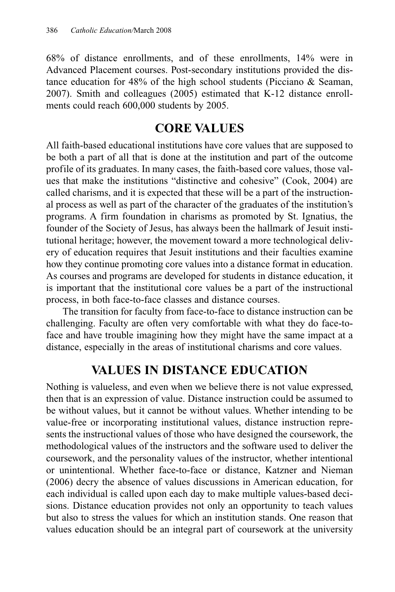68% of distance enrollments, and of these enrollments, 14% were in Advanced Placement courses. Post-secondary institutions provided the distance education for 48% of the high school students (Picciano & Seaman, 2007). Smith and colleagues (2005) estimated that K-12 distance enrollments could reach 600,000 students by 2005.

# **CORE VALUES**

All faith-based educational institutions have core values that are supposed to be both a part of all that is done at the institution and part of the outcome profile of its graduates. In many cases, the faith-based core values, those values that make the institutions "distinctive and cohesive" (Cook, 2004) are called charisms, and it is expected that these will be a part of the instructional process as well as part of the character of the graduates of the institution's programs. A firm foundation in charisms as promoted by St. Ignatius, the founder of the Society of Jesus, has always been the hallmark of Jesuit institutional heritage; however, the movement toward a more technological delivery of education requires that Jesuit institutions and their faculties examine how they continue promoting core values into a distance format in education. As courses and programs are developed for students in distance education, it is important that the institutional core values be a part of the instructional process, in both face-to-face classes and distance courses.

The transition for faculty from face-to-face to distance instruction can be challenging. Faculty are often very comfortable with what they do face-toface and have trouble imagining how they might have the same impact at a distance, especially in the areas of institutional charisms and core values.

# **VALUES IN DISTANCE EDUCATION**

Nothing is valueless, and even when we believe there is not value expressed, then that is an expression of value. Distance instruction could be assumed to be without values, but it cannot be without values. Whether intending to be value-free or incorporating institutional values, distance instruction represents the instructional values of those who have designed the coursework, the methodological values of the instructors and the software used to deliver the coursework, and the personality values of the instructor, whether intentional or unintentional. Whether face-to-face or distance, Katzner and Nieman (2006) decry the absence of values discussions in American education, for each individual is called upon each day to make multiple values-based decisions. Distance education provides not only an opportunity to teach values but also to stress the values for which an institution stands. One reason that values education should be an integral part of coursework at the university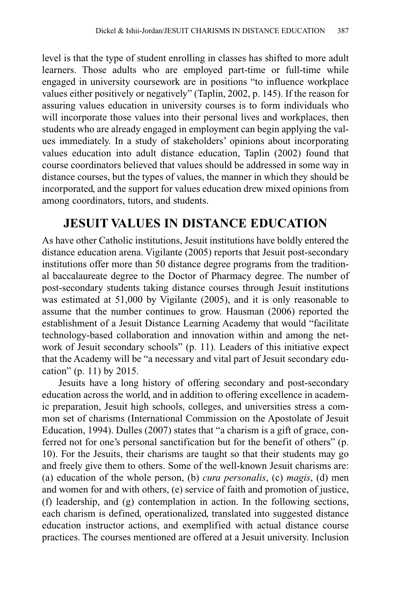level is that the type of student enrolling in classes has shifted to more adult learners. Those adults who are employed part-time or full-time while engaged in university coursework are in positions "to influence workplace values either positively or negatively" (Taplin, 2002, p. 145). If the reason for assuring values education in university courses is to form individuals who will incorporate those values into their personal lives and workplaces, then students who are already engaged in employment can begin applying the values immediately. In a study of stakeholders' opinions about incorporating values education into adult distance education, Taplin (2002) found that course coordinators believed that values should be addressed in some way in distance courses, but the types of values, the manner in which they should be incorporated, and the support for values education drew mixed opinions from among coordinators, tutors, and students.

# **JESUIT VALUES IN DISTANCE EDUCATION**

As have other Catholic institutions, Jesuit institutions have boldly entered the distance education arena. Vigilante (2005) reports that Jesuit post-secondary institutions offer more than 50 distance degree programs from the traditional baccalaureate degree to the Doctor of Pharmacy degree. The number of post-secondary students taking distance courses through Jesuit institutions was estimated at 51,000 by Vigilante (2005), and it is only reasonable to assume that the number continues to grow. Hausman (2006) reported the establishment of a Jesuit Distance Learning Academy that would "facilitate technology-based collaboration and innovation within and among the network of Jesuit secondary schools" (p. 11). Leaders of this initiative expect that the Academy will be "a necessary and vital part of Jesuit secondary education" (p. 11) by 2015.

Jesuits have a long history of offering secondary and post-secondary education across the world, and in addition to offering excellence in academic preparation, Jesuit high schools, colleges, and universities stress a common set of charisms (International Commission on the Apostolate of Jesuit Education, 1994). Dulles (2007) states that "a charism is a gift of grace, conferred not for one's personal sanctification but for the benefit of others" (p. 10). For the Jesuits, their charisms are taught so that their students may go and freely give them to others. Some of the well-known Jesuit charisms are: (a) education of the whole person, (b) *cura personalis*, (c) *magis*, (d) men and women for and with others, (e) service of faith and promotion of justice, (f) leadership, and (g) contemplation in action. In the following sections, each charism is defined, operationalized, translated into suggested distance education instructor actions, and exemplified with actual distance course practices. The courses mentioned are offered at a Jesuit university. Inclusion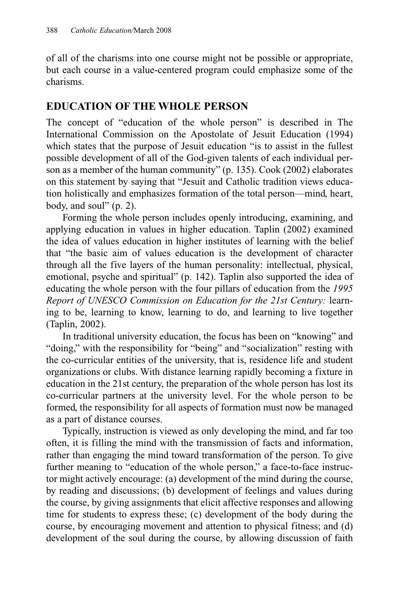of all of the charisms into one course might not be possible or appropriate, but each course in a value-centered program could emphasize some of the charisms.

#### **EDUCATION OF THE WHOLE PERSON**

The concept of "education of the whole person" is described in The International Commission on the Apostolate of Jesuit Education (1994) which states that the purpose of Jesuit education "is to assist in the fullest possible development of all of the God-given talents of each individual person as a member of the human community" (p. 135). Cook (2002) elaborates on this statement by saying that "Jesuit and Catholic tradition views education holistically and emphasizes formation of the total person—mind, heart, body, and soul"  $(p. 2)$ .

Forming the whole person includes openly introducing, examining, and applying education in values in higher education. Taplin (2002) examined the idea of values education in higher institutes of learning with the belief that "the basic aim of values education is the development of character through all the five layers of the human personality: intellectual, physical, emotional, psyche and spiritual" (p. 142). Taplin also supported the idea of educating the whole person with the four pillars of education from the *1995 Report of UNESCO Commission on Education for the 21st Century:* learning to be, learning to know, learning to do, and learning to live together (Taplin, 2002).

In traditional university education, the focus has been on "knowing" and "doing," with the responsibility for "being" and "socialization" resting with the co-curricular entities of the university, that is, residence life and student organizations or clubs. With distance learning rapidly becoming a fixture in education in the 21st century, the preparation of the whole person has lost its co-curricular partners at the university level. For the whole person to be formed, the responsibility for all aspects of formation must now be managed as a part of distance courses.

Typically, instruction is viewed as only developing the mind, and far too often, it is filling the mind with the transmission of facts and information, rather than engaging the mind toward transformation of the person. To give further meaning to "education of the whole person," a face-to-face instructor might actively encourage: (a) development of the mind during the course, by reading and discussions; (b) development of feelings and values during the course, by giving assignments that elicit affective responses and allowing time for students to express these; (c) development of the body during the course, by encouraging movement and attention to physical fitness; and (d) development of the soul during the course, by allowing discussion of faith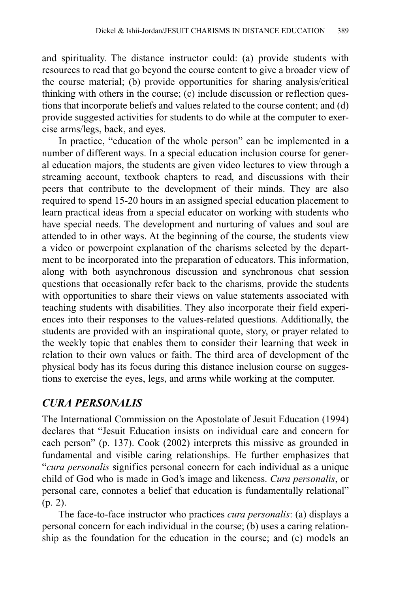and spirituality. The distance instructor could: (a) provide students with resources to read that go beyond the course content to give a broader view of the course material; (b) provide opportunities for sharing analysis/critical thinking with others in the course; (c) include discussion or reflection questions that incorporate beliefs and values related to the course content; and (d) provide suggested activities for students to do while at the computer to exercise arms/legs, back, and eyes.

In practice, "education of the whole person" can be implemented in a number of different ways. In a special education inclusion course for general education majors, the students are given video lectures to view through a streaming account, textbook chapters to read, and discussions with their peers that contribute to the development of their minds. They are also required to spend 15-20 hours in an assigned special education placement to learn practical ideas from a special educator on working with students who have special needs. The development and nurturing of values and soul are attended to in other ways. At the beginning of the course, the students view a video or powerpoint explanation of the charisms selected by the department to be incorporated into the preparation of educators. This information, along with both asynchronous discussion and synchronous chat session questions that occasionally refer back to the charisms, provide the students with opportunities to share their views on value statements associated with teaching students with disabilities. They also incorporate their field experiences into their responses to the values-related questions. Additionally, the students are provided with an inspirational quote, story, or prayer related to the weekly topic that enables them to consider their learning that week in relation to their own values or faith. The third area of development of the physical body has its focus during this distance inclusion course on suggestions to exercise the eyes, legs, and arms while working at the computer.

# *CURA PERSONALIS*

The International Commission on the Apostolate of Jesuit Education (1994) declares that "Jesuit Education insists on individual care and concern for each person" (p. 137). Cook (2002) interprets this missive as grounded in fundamental and visible caring relationships. He further emphasizes that "*cura personalis* signifies personal concern for each individual as a unique child of God who is made in God's image and likeness. *Cura personalis*, or personal care, connotes a belief that education is fundamentally relational" (p. 2).

The face-to-face instructor who practices *cura personalis*: (a) displays a personal concern for each individual in the course; (b) uses a caring relationship as the foundation for the education in the course; and (c) models an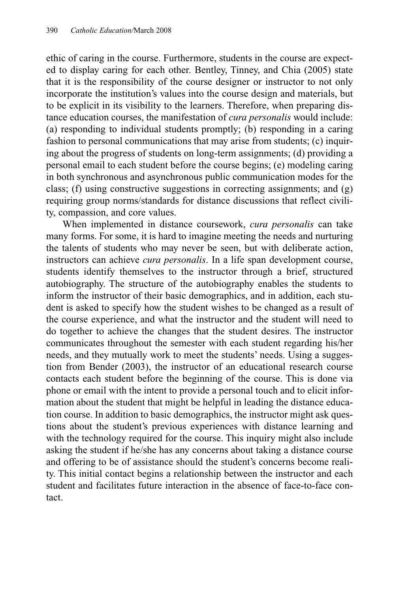ethic of caring in the course. Furthermore, students in the course are expected to display caring for each other. Bentley, Tinney, and Chia (2005) state that it is the responsibility of the course designer or instructor to not only incorporate the institution's values into the course design and materials, but to be explicit in its visibility to the learners. Therefore, when preparing distance education courses, the manifestation of *cura personalis* would include: (a) responding to individual students promptly; (b) responding in a caring fashion to personal communications that may arise from students; (c) inquiring about the progress of students on long-term assignments; (d) providing a personal email to each student before the course begins; (e) modeling caring in both synchronous and asynchronous public communication modes for the class; (f) using constructive suggestions in correcting assignments; and (g) requiring group norms/standards for distance discussions that reflect civility, compassion, and core values.

When implemented in distance coursework, *cura personalis* can take many forms. For some, it is hard to imagine meeting the needs and nurturing the talents of students who may never be seen, but with deliberate action, instructors can achieve *cura personalis*. In a life span development course, students identify themselves to the instructor through a brief, structured autobiography. The structure of the autobiography enables the students to inform the instructor of their basic demographics, and in addition, each student is asked to specify how the student wishes to be changed as a result of the course experience, and what the instructor and the student will need to do together to achieve the changes that the student desires. The instructor communicates throughout the semester with each student regarding his/her needs, and they mutually work to meet the students' needs. Using a suggestion from Bender (2003), the instructor of an educational research course contacts each student before the beginning of the course. This is done via phone or email with the intent to provide a personal touch and to elicit information about the student that might be helpful in leading the distance education course. In addition to basic demographics, the instructor might ask questions about the student's previous experiences with distance learning and with the technology required for the course. This inquiry might also include asking the student if he/she has any concerns about taking a distance course and offering to be of assistance should the student's concerns become reality. This initial contact begins a relationship between the instructor and each student and facilitates future interaction in the absence of face-to-face contact.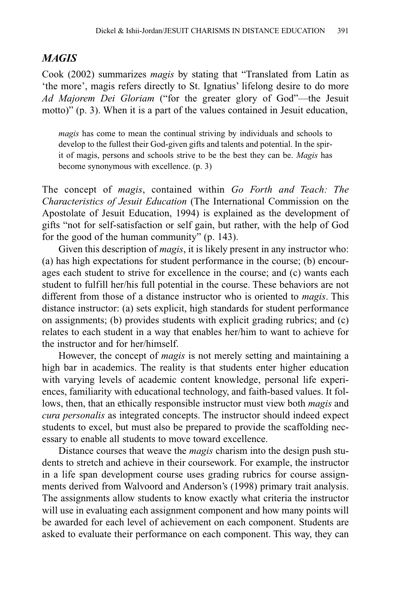#### *MAGIS*

Cook (2002) summarizes *magis* by stating that "Translated from Latin as 'the more', magis refers directly to St. Ignatius' lifelong desire to do more *Ad Majorem Dei Gloriam* ("for the greater glory of God"—the Jesuit motto)" (p. 3). When it is a part of the values contained in Jesuit education,

*magis* has come to mean the continual striving by individuals and schools to develop to the fullest their God-given gifts and talents and potential. In the spirit of magis, persons and schools strive to be the best they can be. *Magis* has become synonymous with excellence. (p. 3)

The concept of *magis*, contained within *Go Forth and Teach: The Characteristics of Jesuit Education* (The International Commission on the Apostolate of Jesuit Education, 1994) is explained as the development of gifts "not for self-satisfaction or self gain, but rather, with the help of God for the good of the human community" (p. 143).

Given this description of *magis*, it is likely present in any instructor who: (a) has high expectations for student performance in the course; (b) encourages each student to strive for excellence in the course; and (c) wants each student to fulfill her/his full potential in the course. These behaviors are not different from those of a distance instructor who is oriented to *magis*. This distance instructor: (a) sets explicit, high standards for student performance on assignments; (b) provides students with explicit grading rubrics; and (c) relates to each student in a way that enables her/him to want to achieve for the instructor and for her/himself.

However, the concept of *magis* is not merely setting and maintaining a high bar in academics. The reality is that students enter higher education with varying levels of academic content knowledge, personal life experiences, familiarity with educational technology, and faith-based values. It follows, then, that an ethically responsible instructor must view both *magis* and *cura personalis* as integrated concepts. The instructor should indeed expect students to excel, but must also be prepared to provide the scaffolding necessary to enable all students to move toward excellence.

Distance courses that weave the *magis* charism into the design push students to stretch and achieve in their coursework. For example, the instructor in a life span development course uses grading rubrics for course assignments derived from Walvoord and Anderson's (1998) primary trait analysis. The assignments allow students to know exactly what criteria the instructor will use in evaluating each assignment component and how many points will be awarded for each level of achievement on each component. Students are asked to evaluate their performance on each component. This way, they can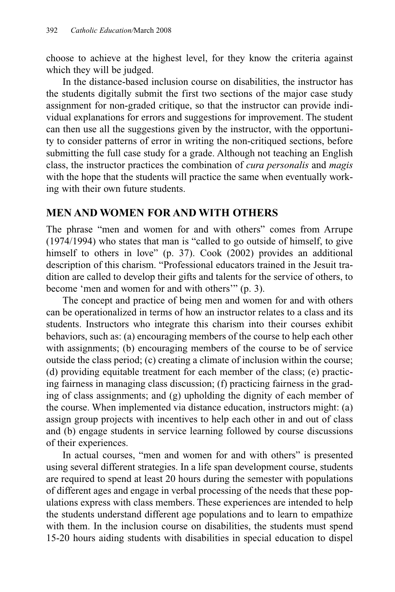choose to achieve at the highest level, for they know the criteria against which they will be judged.

In the distance-based inclusion course on disabilities, the instructor has the students digitally submit the first two sections of the major case study assignment for non-graded critique, so that the instructor can provide individual explanations for errors and suggestions for improvement. The student can then use all the suggestions given by the instructor, with the opportunity to consider patterns of error in writing the non-critiqued sections, before submitting the full case study for a grade. Although not teaching an English class, the instructor practices the combination of *cura personalis* and *magis* with the hope that the students will practice the same when eventually working with their own future students.

#### **MEN AND WOMEN FOR AND WITH OTHERS**

The phrase "men and women for and with others" comes from Arrupe (1974/1994) who states that man is "called to go outside of himself, to give himself to others in love" (p. 37). Cook (2002) provides an additional description of this charism. "Professional educators trained in the Jesuit tradition are called to develop their gifts and talents for the service of others, to become 'men and women for and with others'" (p. 3).

The concept and practice of being men and women for and with others can be operationalized in terms of how an instructor relates to a class and its students. Instructors who integrate this charism into their courses exhibit behaviors, such as: (a) encouraging members of the course to help each other with assignments; (b) encouraging members of the course to be of service outside the class period; (c) creating a climate of inclusion within the course; (d) providing equitable treatment for each member of the class; (e) practicing fairness in managing class discussion; (f) practicing fairness in the grading of class assignments; and (g) upholding the dignity of each member of the course. When implemented via distance education, instructors might: (a) assign group projects with incentives to help each other in and out of class and (b) engage students in service learning followed by course discussions of their experiences.

In actual courses, "men and women for and with others" is presented using several different strategies. In a life span development course, students are required to spend at least 20 hours during the semester with populations of different ages and engage in verbal processing of the needs that these populations express with class members. These experiences are intended to help the students understand different age populations and to learn to empathize with them. In the inclusion course on disabilities, the students must spend 15-20 hours aiding students with disabilities in special education to dispel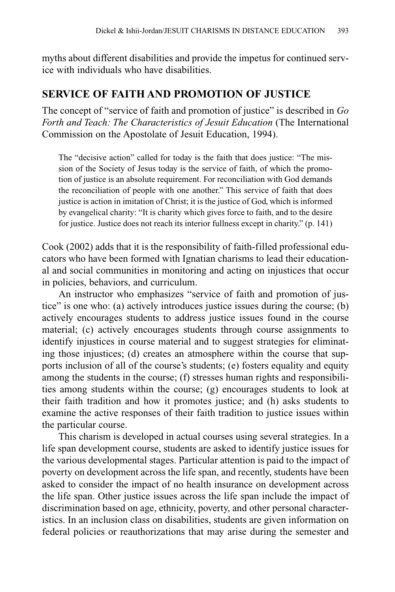myths about different disabilities and provide the impetus for continued service with individuals who have disabilities.

#### **SERVICE OF FAITH AND PROMOTION OF JUSTICE**

The concept of "service of faith and promotion of justice" is described in *Go Forth and Teach: The Characteristics of Jesuit Education* (The International Commission on the Apostolate of Jesuit Education, 1994).

The "decisive action" called for today is the faith that does justice: "The mission of the Society of Jesus today is the service of faith, of which the promotion of justice is an absolute requirement. For reconciliation with God demands the reconciliation of people with one another." This service of faith that does justice is action in imitation of Christ; it is the justice of God, which is informed by evangelical charity: "It is charity which gives force to faith, and to the desire for justice. Justice does not reach its interior fullness except in charity." (p. 141)

Cook (2002) adds that it is the responsibility of faith-filled professional educators who have been formed with Ignatian charisms to lead their educational and social communities in monitoring and acting on injustices that occur in policies, behaviors, and curriculum.

An instructor who emphasizes "service of faith and promotion of justice" is one who: (a) actively introduces justice issues during the course; (b) actively encourages students to address justice issues found in the course material; (c) actively encourages students through course assignments to identify injustices in course material and to suggest strategies for eliminating those injustices; (d) creates an atmosphere within the course that supports inclusion of all of the course's students; (e) fosters equality and equity among the students in the course; (f) stresses human rights and responsibilities among students within the course; (g) encourages students to look at their faith tradition and how it promotes justice; and (h) asks students to examine the active responses of their faith tradition to justice issues within the particular course.

This charism is developed in actual courses using several strategies. In a life span development course, students are asked to identify justice issues for the various developmental stages. Particular attention is paid to the impact of poverty on development across the life span, and recently, students have been asked to consider the impact of no health insurance on development across the life span. Other justice issues across the life span include the impact of discrimination based on age, ethnicity, poverty, and other personal characteristics. In an inclusion class on disabilities, students are given information on federal policies or reauthorizations that may arise during the semester and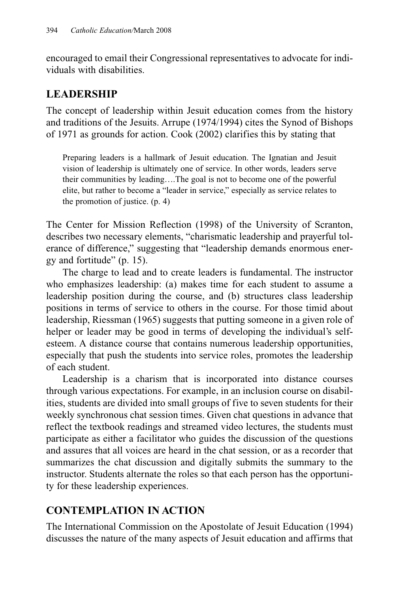encouraged to email their Congressional representatives to advocate for individuals with disabilities.

## **LEADERSHIP**

The concept of leadership within Jesuit education comes from the history and traditions of the Jesuits. Arrupe (1974/1994) cites the Synod of Bishops of 1971 as grounds for action. Cook (2002) clarifies this by stating that

Preparing leaders is a hallmark of Jesuit education. The Ignatian and Jesuit vision of leadership is ultimately one of service. In other words, leaders serve their communities by leading….The goal is not to become one of the powerful elite, but rather to become a "leader in service," especially as service relates to the promotion of justice. (p. 4)

The Center for Mission Reflection (1998) of the University of Scranton, describes two necessary elements, "charismatic leadership and prayerful tolerance of difference," suggesting that "leadership demands enormous energy and fortitude" (p. 15).

The charge to lead and to create leaders is fundamental. The instructor who emphasizes leadership: (a) makes time for each student to assume a leadership position during the course, and (b) structures class leadership positions in terms of service to others in the course. For those timid about leadership, Riessman (1965) suggests that putting someone in a given role of helper or leader may be good in terms of developing the individual's selfesteem. A distance course that contains numerous leadership opportunities, especially that push the students into service roles, promotes the leadership of each student.

Leadership is a charism that is incorporated into distance courses through various expectations. For example, in an inclusion course on disabilities, students are divided into small groups of five to seven students for their weekly synchronous chat session times. Given chat questions in advance that reflect the textbook readings and streamed video lectures, the students must participate as either a facilitator who guides the discussion of the questions and assures that all voices are heard in the chat session, or as a recorder that summarizes the chat discussion and digitally submits the summary to the instructor. Students alternate the roles so that each person has the opportunity for these leadership experiences.

# **CONTEMPLATION IN ACTION**

The International Commission on the Apostolate of Jesuit Education (1994) discusses the nature of the many aspects of Jesuit education and affirms that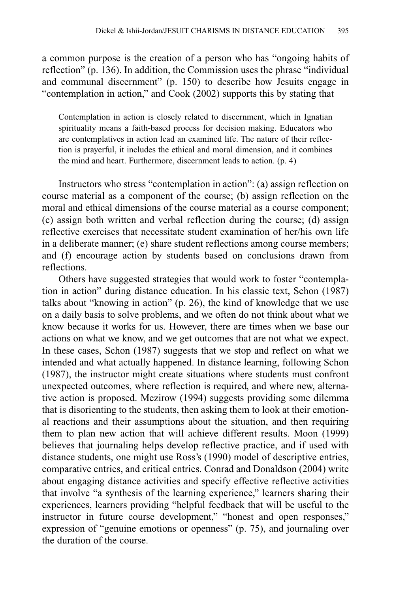a common purpose is the creation of a person who has "ongoing habits of reflection" (p. 136). In addition, the Commission uses the phrase "individual and communal discernment" (p. 150) to describe how Jesuits engage in "contemplation in action," and Cook (2002) supports this by stating that

Contemplation in action is closely related to discernment, which in Ignatian spirituality means a faith-based process for decision making. Educators who are contemplatives in action lead an examined life. The nature of their reflection is prayerful, it includes the ethical and moral dimension, and it combines the mind and heart. Furthermore, discernment leads to action. (p. 4)

Instructors who stress "contemplation in action": (a) assign reflection on course material as a component of the course; (b) assign reflection on the moral and ethical dimensions of the course material as a course component; (c) assign both written and verbal reflection during the course; (d) assign reflective exercises that necessitate student examination of her/his own life in a deliberate manner; (e) share student reflections among course members; and (f) encourage action by students based on conclusions drawn from reflections.

Others have suggested strategies that would work to foster "contemplation in action" during distance education. In his classic text, Schon (1987) talks about "knowing in action" (p. 26), the kind of knowledge that we use on a daily basis to solve problems, and we often do not think about what we know because it works for us. However, there are times when we base our actions on what we know, and we get outcomes that are not what we expect. In these cases, Schon (1987) suggests that we stop and reflect on what we intended and what actually happened. In distance learning, following Schon (1987), the instructor might create situations where students must confront unexpected outcomes, where reflection is required, and where new, alternative action is proposed. Mezirow (1994) suggests providing some dilemma that is disorienting to the students, then asking them to look at their emotional reactions and their assumptions about the situation, and then requiring them to plan new action that will achieve different results. Moon (1999) believes that journaling helps develop reflective practice, and if used with distance students, one might use Ross's (1990) model of descriptive entries, comparative entries, and critical entries. Conrad and Donaldson (2004) write about engaging distance activities and specify effective reflective activities that involve "a synthesis of the learning experience," learners sharing their experiences, learners providing "helpful feedback that will be useful to the instructor in future course development," "honest and open responses," expression of "genuine emotions or openness" (p. 75), and journaling over the duration of the course.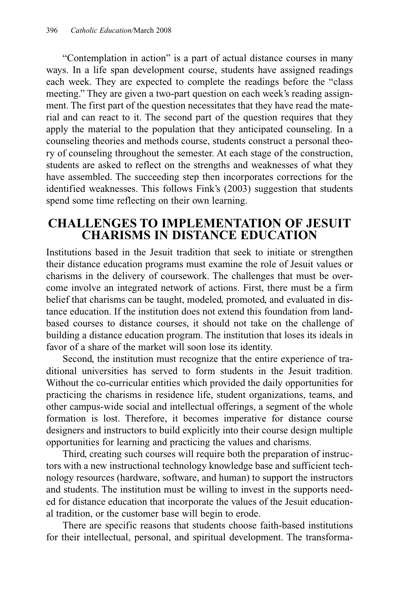"Contemplation in action" is a part of actual distance courses in many ways. In a life span development course, students have assigned readings each week. They are expected to complete the readings before the "class meeting." They are given a two-part question on each week's reading assignment. The first part of the question necessitates that they have read the material and can react to it. The second part of the question requires that they apply the material to the population that they anticipated counseling. In a counseling theories and methods course, students construct a personal theory of counseling throughout the semester. At each stage of the construction, students are asked to reflect on the strengths and weaknesses of what they have assembled. The succeeding step then incorporates corrections for the identified weaknesses. This follows Fink's (2003) suggestion that students spend some time reflecting on their own learning.

### **CHALLENGES TO IMPLEMENTATION OF JESUIT CHARISMS IN DISTANCE EDUCATION**

Institutions based in the Jesuit tradition that seek to initiate or strengthen their distance education programs must examine the role of Jesuit values or charisms in the delivery of coursework. The challenges that must be overcome involve an integrated network of actions. First, there must be a firm belief that charisms can be taught, modeled, promoted, and evaluated in distance education. If the institution does not extend this foundation from landbased courses to distance courses, it should not take on the challenge of building a distance education program. The institution that loses its ideals in favor of a share of the market will soon lose its identity.

Second, the institution must recognize that the entire experience of traditional universities has served to form students in the Jesuit tradition. Without the co-curricular entities which provided the daily opportunities for practicing the charisms in residence life, student organizations, teams, and other campus-wide social and intellectual offerings, a segment of the whole formation is lost. Therefore, it becomes imperative for distance course designers and instructors to build explicitly into their course design multiple opportunities for learning and practicing the values and charisms.

Third, creating such courses will require both the preparation of instructors with a new instructional technology knowledge base and sufficient technology resources (hardware, software, and human) to support the instructors and students. The institution must be willing to invest in the supports needed for distance education that incorporate the values of the Jesuit educational tradition, or the customer base will begin to erode.

There are specific reasons that students choose faith-based institutions for their intellectual, personal, and spiritual development. The transforma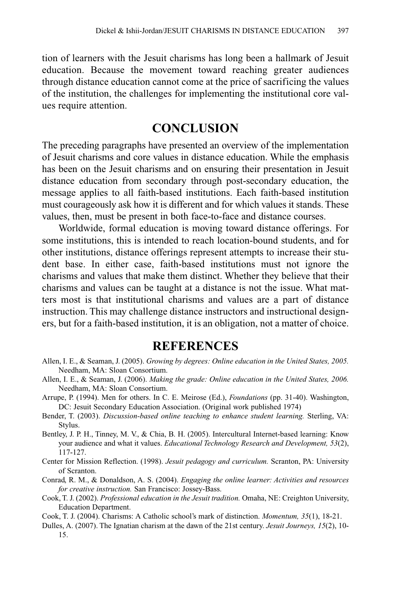tion of learners with the Jesuit charisms has long been a hallmark of Jesuit education. Because the movement toward reaching greater audiences through distance education cannot come at the price of sacrificing the values of the institution, the challenges for implementing the institutional core values require attention.

## **CONCLUSION**

The preceding paragraphs have presented an overview of the implementation of Jesuit charisms and core values in distance education. While the emphasis has been on the Jesuit charisms and on ensuring their presentation in Jesuit distance education from secondary through post-secondary education, the message applies to all faith-based institutions. Each faith-based institution must courageously ask how it is different and for which values it stands. These values, then, must be present in both face-to-face and distance courses.

Worldwide, formal education is moving toward distance offerings. For some institutions, this is intended to reach location-bound students, and for other institutions, distance offerings represent attempts to increase their student base. In either case, faith-based institutions must not ignore the charisms and values that make them distinct. Whether they believe that their charisms and values can be taught at a distance is not the issue. What matters most is that institutional charisms and values are a part of distance instruction. This may challenge distance instructors and instructional designers, but for a faith-based institution, it is an obligation, not a matter of choice.

### **REFERENCES**

- Allen, I. E., & Seaman, J. (2005). *Growing by degrees: Online education in the United States, 2005.* Needham, MA: Sloan Consortium.
- Allen, I. E., & Seaman, J. (2006). *Making the grade: Online education in the United States, 2006.* Needham, MA: Sloan Consortium.
- Arrupe, P. (1994). Men for others. In C. E. Meirose (Ed.), *Foundations* (pp. 31-40). Washington, DC: Jesuit Secondary Education Association. (Original work published 1974)
- Bender, T. (2003). *Discussion-based online teaching to enhance student learning.* Sterling, VA: Stylus.
- Bentley, J. P. H., Tinney, M. V., & Chia, B. H. (2005). Intercultural Internet-based learning: Know your audience and what it values. *Educational Technology Research and Development, 53*(2), 117-127.
- Center for Mission Reflection. (1998). *Jesuit pedagogy and curriculum.* Scranton, PA: University of Scranton.
- Conrad, R. M., & Donaldson, A. S. (2004). *Engaging the online learner: Activities and resources for creative instruction.* San Francisco: Jossey-Bass.
- Cook, T. J. (2002). *Professional education in the Jesuit tradition.* Omaha, NE: Creighton University, Education Department.
- Cook, T. J. (2004). Charisms: A Catholic school's mark of distinction. *Momentum, 35*(1), 18-21.
- Dulles, A. (2007). The Ignatian charism at the dawn of the 21st century. *Jesuit Journeys, 15*(2), 10- 15.